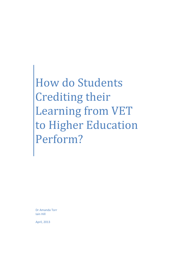How do Students Crediting their Learning from VET to Higher Education Perform?

Dr Amanda Torr Iain Hill

April, 2013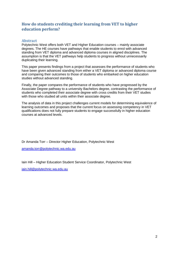# **How do students crediting their learning from VET to higher education perform?**

## **Abstract**

Polytechnic West offers both VET and Higher Education courses – mainly associate degrees. The HE courses have pathways that enable students to enrol with advanced standing from VET diploma and advanced diploma courses in aligned disciplines. The assumption is that the VET pathways help students to progress without unnecessarily duplicating their learning.

This paper presents findings from a project that assesses the performance of students who have been given advanced standing from either a VET diploma or advanced diploma course and comparing their outcomes to those of students who embarked on higher education studies without advanced standing.

Finally, the paper compares the performance of students who have progressed by the Associate Degree pathway to a university Bachelors degree, contrasting the performance of students who completed their associate degree with cross credits from their VET studies with those who studied all units within their associate degree.

The analysis of data in this project challenges current models for determining equivalence of learning outcomes and proposes that the current focus on assessing competency in VET qualifications does not fully prepare students to engage successfully in higher education courses at advanced levels.

Dr Amanda Torr – Director Higher Education, Polytechnic West

[amanda.torr@polytechnic.wa.edu.au](mailto:amanda.torr@polytechnic.wa.edu.au)

Iain Hill – Higher Education Student Service Coordinator, Polytechnic West

[iain.hill@polytechnic.wa.edu.au](mailto:iain.hill@polytechnic.wa.edu.au)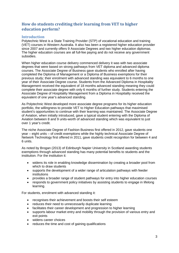# **How do students crediting their learning from VET to higher education perform?**

### **Introduction**

Polytechnic West is a State Training Provider (STP) of vocational education and training (VET) courses in Western Australia. It also has been a registered higher education provider since 2007 and currently offers 9 Associate Degrees and two higher education diplomas. The higher education courses are all full-fee paying and do not receive any government subsidies.

When higher education course delivery commenced delivery it was with two associate degrees that were based on strong pathways from VET diploma and advanced diploma courses. The Associate Degree of Business gave students who enrolled after having completed the Diploma of Management or a Diploma of Business exemptions for their previous study; their enrolment with advanced standing was equivalent to 6 months to one year of their Associate Degree course. Students from the Advanced Diploma in Hospitality Management received the equivalent of 18 months advanced standing meaning they could complete their associate degree with only 6 months of further study. Students entering the Associate Degree of Hospitality Management from a Diploma in Hospitality received the equivalent of one year's advanced standing.

As Polytechnic West developed more associate degree programs for its higher education portfolio, the willingness to provide VET to Higher Education pathways that maximised student's opportunities to continue with their learning was maintained. The Associate Degree of Aviation, when initially introduced, gave a typical student entering with the Diploma of Aviation between 8 and 9 units-worth of advanced standing which was equivalent to just over 1 year's credit.

The niche Associate Degree of Fashion Business first offered in 2012, gave students one year – eight units – of credit exemptions while the highly technical Associate Degree of Network Technology first offered in 2011, gave students credit recognition for between 4 and 6 units.

As noted by Brogan (2013) of Edinburgh Napier University in Scotland awarding students exemptions through advanced standing has many potential benefits to students and the institution. For the institution it:

- widens its role in enabling knowledge dissemination by creating a broader pool from which to draw students
- supports the development of a wider range of articulation pathways with feeder institutions
- provides a broader range of student pathways for entry into higher education courses
- responds to government policy initiatives by assisting students to engage in lifelong learning.

For students, enrolment with advanced standing it:

- recognises their achievement and boosts their self esteem
- reduces their need to unnecessarily duplicate learning
- facilitates their career development and progression to higher learning
- supports labour market entry and mobility through the provision of various entry and exit points
- widens career choices
- reduces the time and cost of gaining qualifications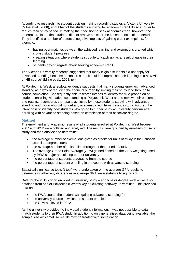According to research into student decision making regarding studies at Victoria University (Milne et al., 2008), about half of the students applying for academic credit do so in order to reduce their study period. In making their decision to seek academic credit, however, the researchers found that students did not always consider the consequences of the decision. They identified a number of potential negative impacts of gaining credit exemptions, for example:

- having poor matches between the achieved learning and exemptions granted which slowed student progress
- creating situations where students struggle to 'catch up' as a result of gaps in their learning
- students having regrets about seeking academic credit.

The Victoria University research suggested that many eligible students did not apply for advanced standing because of concerns that it could "compromise their learning in a new VE or HE course" (Milne et al., 2008, pv).

At Polytechnic West, anecdotal evidence suggests that many students enrol with advanced standing as a way of reducing the financial burden by limiting their study load through to course completion. Consequently, this research intends to identify the true proportion of students enrolling with advanced standing at Polytechnic West and to review their outcomes and results. It compares the results achieved by those students studying with advanced standing and those who did not get any academic credit from previous study. Further, the intention is to identify how students who go on to further study at university perform after enrolling with advanced standing based on completion of their associate degree.

## **Method**

The enrolment and academic results of all students enrolled at Polytechnic West between 2007 and 2012 were collated and analysed. The results were grouped by enrolled course of study and then analysed to determine:

- the average number of exemptions given as credits for units of study in their chosen associate degree course
- the average number of units failed throughout the period of study
- The average Grade Point Average (GPA) gained based on the GPA weighting used by PWA's major articulating partner university
- the percentage of students graduating from the course
- the percentage of student enrolling in the course with advanced standing

Statistical significance tests (t-test) were undertaken on the average GPA results to determine whether any differences in average GPA were statistically significant.

Data for the 2012 cohort enrolled in university study – at bachelor degree level – was also obtained from one of Polytechnic West's key articulating pathway universities. This provided data on:

- the PWA course the student was gaining advanced standing for
- the university course in which the student enrolled
- the GPA achieved in 2012

As the university provided no individual student information, it was not possible to data match students to their PWA study. In addition to only generalised data being available, the sample size was small so results may be treated with some cation.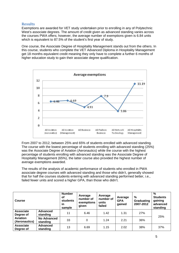## **Results**

Exemptions are awarded for VET study undertaken prior to enrolling in any of Polytechnic West's associate degrees. The amount of credit given as advanced standing varies across the courses PWA offers; however, the average number of exemptions given is 6.84 units which is equivalent to 87.5% of the student's first year of study.

One course, the Associate Degree of Hospitality Management stands out from the others. In this course, students who complete the VET Advanced Diploma in Hospitality Management get 18 months equivalent credit meaning they only have to complete a further 6 months of higher education study to gain their associate degree qualification.



From 2007 to 2012, between 25% and 65% of students enrolled with advanced standing. The course with the lowest percentage of students enrolling with advanced standing (25%) was the Associate Degree of Aviation (Aeronautics) while the course with the highest percentage of students enrolling with advanced standing was the Associate Degree of Hospitality Management (65%), the latter course also provided the highest number of average exemptions awarded.

The results of the analysis of academic performance of students who enrolled in PWA associate degree courses with advanced standing and those who didn't, generally showed that for half the courses students entering with advanced standing performed better, i.e., failed fewer units and scored a higher GPA, than those who didn't.

| Course                           |                                | <b>Number</b><br>οf<br><b>students</b><br>in<br>sample | Average<br>number of<br>exemptions<br>qiven | Average<br>number of<br>units<br>failed | Average<br><b>GPA</b><br>gained | $\%$<br>Graduating<br>2007-2012 | %<br><b>Students</b><br>gaining<br>advanced<br>standing |
|----------------------------------|--------------------------------|--------------------------------------------------------|---------------------------------------------|-----------------------------------------|---------------------------------|---------------------------------|---------------------------------------------------------|
| <b>Associate</b><br>Degree of    | <b>Advanced</b><br>standing    | 11                                                     | 6.46                                        | 1.42                                    | 1.31                            | 27%                             |                                                         |
| <b>Aviation</b><br>(Aeronautics) | <b>No Advanced</b><br>standing | 33                                                     | 0                                           | 1.24                                    | 2.21                            | 36%                             | 25%                                                     |
| <b>Associate</b><br>Degree of    | <b>Advanced</b><br>standing    | 13                                                     | 6.69                                        | 1.15                                    | 2.02                            | 38%                             | 37%                                                     |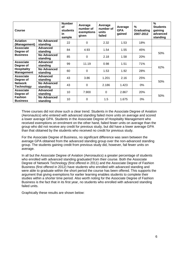| Course                                  |                                | <b>Number</b><br>οf<br><b>students</b><br>in<br>sample | Average<br>number of<br>exemptions<br>given | Average<br>number of<br>units<br>failed | Average<br><b>GPA</b><br>gained | $\frac{0}{2}$<br>Graduating<br>2007-2012 | %<br><b>Students</b><br>gaining<br>advanced<br>standing |
|-----------------------------------------|--------------------------------|--------------------------------------------------------|---------------------------------------------|-----------------------------------------|---------------------------------|------------------------------------------|---------------------------------------------------------|
| <b>Aviation</b><br>(Management)         | <b>No Advanced</b><br>standing | 22                                                     | $\overline{0}$                              | 2.32                                    | 1.53                            | 18%                                      |                                                         |
| <b>Associate</b><br>Degree of           | <b>Advanced</b><br>standing    | 84                                                     | 4.93                                        | 1.54                                    | 1.55                            | 45%                                      | 50%                                                     |
| <b>Business</b>                         | No Advanced<br>standing        | 85                                                     | $\overline{0}$                              | 2.18                                    | 1.58                            | 20%                                      |                                                         |
| Associate<br>Degree of                  | <b>Advanced</b><br>standing    | 99                                                     | 11.19                                       | 0.98                                    | 1.51                            | 71%                                      | 62%                                                     |
| <b>Hospitality</b><br><b>Management</b> | <b>No Advanced</b><br>standing | 60                                                     | $\overline{0}$                              | 1.53                                    | 1.92                            | 28%                                      |                                                         |
| Associate<br>Degree of                  | <b>Advanced</b><br>standing    | 43                                                     | 3.86                                        | 1.201                                   | 2.16                            | 25%                                      | 50%                                                     |
| <b>Network</b><br><b>Technology</b>     | <b>No Advanced</b><br>standing | 43                                                     | $\Omega$                                    | 2.186                                   | 1.423                           | $0\%$                                    |                                                         |
| <b>Associate</b><br>Degree of           | <b>Advanced</b><br>standing    | 10                                                     | 7.900                                       | $\mathbf 0$                             | 2.867                           | 20%                                      |                                                         |
| <b>Fashion</b><br><b>Business</b>       | <b>No Advanced</b><br>standing | 10                                                     | 0                                           | 1.5                                     | 1.675                           | $0\%$                                    | 50%                                                     |

Three courses did not show such a clear trend. Students in the Associate Degree of Aviation (Aeronautics) who entered with advanced standing failed more units on average and scored a lower average GPA. Students in the Associate Degree of Hospitality Management who received exemptions on enrolment on the other hand, failed fewer units on average than the group who did not receive any credit for previous study, but did have a lower average GPA than that obtained by the students who received no credit for previous study.

For the Associate Degree of Business, no significant difference was seen between the average GPA obtained from the advanced standing group over the non-advanced standing group. The students gaining credit from previous study did, however, fail fewer units on average.

In all but the Associate Degree of Aviation (Aeronautics) a greater percentage of students who enrolled with advanced standing graduated from their course. Both the Associate Degree of Network Technology (first offered in 2011) and the Associate Degree of Fashion Business (first offered in 2012) have students who enrolled with advanced standing and were able to graduate within the short period the course has been offered. This supports the argument that giving exemptions for earlier learning enables students to complete their studies within a shorter time period. Also worth noting for the Associate Degree of Fashion Business is the fact that in its first year, no students who enrolled with advanced standing failed units.

Graphically these results are shown below: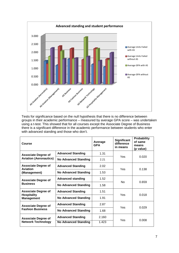

Tests for significance based on the null hypothesis that there is no difference between groups in their academic performance – measured by average GPA score – was undertaken using a t-test. This showed that for all courses except the Associate Degree of Business there is a significant difference in the academic performance between students who enter with advanced standing and those who don't.

| Course                                  |                             | Average<br><b>GPA</b> | <b>Significant</b><br>difference<br>in means | <b>Probability</b><br>of same<br>means<br>(p value) |  |
|-----------------------------------------|-----------------------------|-----------------------|----------------------------------------------|-----------------------------------------------------|--|
| <b>Associate Degree of</b>              | <b>Advanced Standing</b>    | 1.31                  | Yes                                          |                                                     |  |
| <b>Aviation (Aeronautics)</b>           | <b>No Advanced Standing</b> | 2.21                  |                                              | 0.020                                               |  |
| <b>Associate Degree of</b><br>Aviation  | <b>Advanced Standing</b>    | 2.02                  | Yes                                          | 0.138                                               |  |
| (Management)                            | <b>No Advanced Standing</b> | 1.53                  |                                              |                                                     |  |
| <b>Associate Degree of</b>              | <b>Advanced standing</b>    | 1.52                  | No                                           | 0.659                                               |  |
| <b>Business</b>                         | <b>No Advanced Standing</b> | 1.58                  |                                              |                                                     |  |
| <b>Associate Degree of</b>              | <b>Advanced Standing</b>    | 1.51                  | Yes                                          | 0.018                                               |  |
| <b>Hospitality</b><br><b>Management</b> | <b>No Advanced Standing</b> | 1.91                  |                                              |                                                     |  |
| <b>Associate Degree of</b>              | <b>Advanced Standing</b>    | 2.87                  | Yes                                          | 0.029                                               |  |
| <b>Fashion Business</b>                 | <b>No Advanced Standing</b> | 1.68                  |                                              |                                                     |  |
| <b>Associate Degree of</b>              | <b>Advanced Standing</b>    | 2.160                 |                                              |                                                     |  |
| <b>Network Technology</b>               | <b>No Advanced Standing</b> | 1.423                 | Yes                                          | 0.008                                               |  |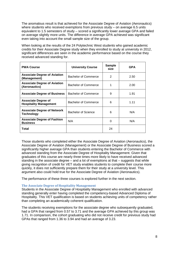The anomalous result is that achieved for the Associate Degree of Aviation (Aeronautics) where students who received exemptions from previous study – on average 6.5 units equivalent to 1.5 semesters of study – scored a significantly lower average GPA and failed on average slightly more units. The difference in average GPA achieved was significant even taking into account the small sample size of the group.

When looking at the results of the 24 Polytechnic West students who gained academic credits for their Associate Degree study when they enrolled to study at university in 2012, significant differences are seen in the academic performance based on the course they received advanced standing for.

| <b>PWA Course</b>                                           | <b>University Course</b>    | <b>Sample</b><br>size | <b>GPA</b> |
|-------------------------------------------------------------|-----------------------------|-----------------------|------------|
| <b>Associate Degree of Aviation</b><br>(Management)         | <b>Bachelor of Commerce</b> | 2                     | 2.50       |
| <b>Associate Degree of Aviation</b><br>(Aeronautics)        | <b>Bachelor of Commerce</b> |                       | 2.00       |
| <b>Associate Degree of Business</b>                         | <b>Bachelor of Commerce</b> | 9                     | 1.91       |
| <b>Associate Degree of</b><br><b>Hospitality Management</b> | Bachelor of Commerce        | 6                     | 1.11       |
| <b>Associate Degree of Network</b><br><b>Technology</b>     | Bachelor of Science         | 6                     | N/A        |
| <b>Associate Degree of Fashion</b><br><b>Business</b>       | N/A                         | 0                     | N/A        |
| Total                                                       |                             | 24                    |            |

Those students who completed either the Associate Degree of Aviation (Aeronautics), the Associate Degree of Aviation (Management) or the Associate Degree of Business scored a significantly higher average GPA than students entering the Bachelor of Commerce with advanced standing from the Associate Degree of Hospitality Management. Given that graduates of this course are nearly three times more likely to have received advanced standing in the associate degree – and a lot of exemptions at that – suggests that while giving recognition of credit for VET study enables students to complete their course more quickly, it does not sufficiently prepare them for their study at a university level. This argument also could hold true for the Associate Degree of Aviation (Aeronautics).

The performance of these three courses is explored further in the next section.

#### **The Associate Degree of Hospitality Management**

Students in the Associate Degree of Hospitality Management who enrolled with advanced standing generally enter having completed the competency-based Advanced Diploma of Hospitality. This VET qualification is based on students achieving units of competency rather than completing an academically coherent qualification.

The students receiving exemptions for the associate degree who subsequently graduated, had a GPA that ranged from 0.57 to 3.71 and the average GPA achieved by this group was 1.71. In comparison, the cohort graduating who did not receive credit for previous study had GPAs that ranged from 1.36 to 3.94 and had an average of 3.23.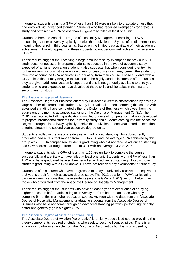In general, students gaining a GPA of less than 1.35 were unlikely to graduate unless they had enrolled with advanced standing. Students who had received exemptions for previous study and obtaining a GPA of less than 1.0 generally failed at least one unit.

Graduates from the Associate Degree of Hospitality Management enrolling at PWA's articulating partner university typically receive the equivalent of 2 years of credit exemptions meaning they enrol in third year units. Based on the limited data available of their academic achievement it would appear that these students do not perform well achieving an average GPA of 1.11.

These results suggest that receiving a large amount of study exemption for previous VET study does not necessarily prepare students to succeed in the type of academic study expected of a higher education student. It also suggests that when considering entry into further university study with exemption given for previous study it may benefit the student to take into account the GPA achieved in graduating from their course. Those students with a GPA of less than 1 may struggle to succeed in the highly academic courses offered unless they are given additional academic support and this is not generally available to third year students who are expected to have developed these skills and literacies in the first and second year of study.

#### **The Associate Degree of Business**

The Associate Degree of Business offered by Polytechnic West is characterised by having a large number of international students. Many international students entering this course with advanced standing have completed either the Diploma of Business which gives them the equivalent of 6 months advanced standing or the Diploma of Management (CT81). The CT81 is an accredited VET qualification compiled of units of competency that was developed to prepare international students for university study and students coming into the Associate Degree through this pathway typically receive the equivalent of one year's credit exemptions, entering directly into second year associate degree units.

Students enrolled in the associate degree with advanced standing who subsequently graduated had a GPA that ranged from 0.57 to 2.88 and the average GPA achieved by this group was 1.66. In comparison, students graduating who did not receive advanced standing had GPA scores that ranged from 1.22 to 3.81 with an average GPA of 2.16.

In general students with a GPA of less than 1.20 are unlikely to complete the course successfully and are likely to have failed at least one unit. Students with a GPA of less than 1.22 who have graduated have all been enrolled with advanced standing. Notably those students graduating with a GPA above 3.0 have not received any exemptions for prior study.

Graduates of this course who have progressed to study at university received the equivalent of 2 year's credit for their associate degree study. The 2012 data form PWA's articulating partner university shows that these students (average GPA of 1.907) perform better than those who articulated from the Associate Degree of Hospitality Management.

These results suggest that students who have at least a year of experience of studying higher education before articulating to university perform better than those who only complete 6 months in a higher education course. As seen with the data from the Associate Degree of Hospitality Management, graduating students from the Associate Degree of Business who have not come through an advanced standing pathway perform significantly better and generally gain a higher GPA

#### **The Associate Degree of Aviation (Aeronautics)**

The Associate Degree of Aviation (Aeronautics) is a highly specialised course providing the theory components required of students who seek to become licenced pilots. There is an articulation pathway available from the Diploma of Aeronautics but this is only used by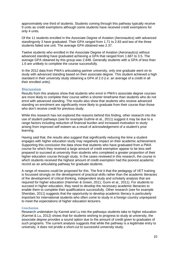approximately one third of students. Students coming through this pathway typically receive 9 units as credit exemptions although some students have received credit exemptions for only 4 units.

Of the 11 students enrolled in the Associate Degree of Aviation (Aeronautics) with advanced standingonly 3 have graduated. Their GPA ranged from 1.71 to 2.83 and two of the three students failed one unit. The average GPA obtained was 2.37.

Twelve students who enrolled in the Associate Degree of Aviation (Aeronautics) without advanced standing have graduated achieving a GPA that ranged from 1.687 to 3.5. The average GPA obtained by this group was 2.848. Generally students with a GPA of less than 1.6 are unlikely to complete the course successfully.

In the 2012 data from PWA's articulating partner university, only one graduate went on to study with advanced standing based on their associate degree. This student achieved a high standard in their university study obtaining a GPA of 2.0 (i.e. an average of a credit in all their enrolled units).

### **Discussion**

Results from this analysis show that students who enrol in PWA's associate degree courses are more likely to complete their course within a shorter timeframe than students who do not enrol with advanced standing. The results also show that students who receive advanced standing on enrolment are significantly more likely to graduate from their course than those who don't receive credit for previous study.

While this research has not explored the reasons behind this finding, other research into the use of student pathways (see for example Guthrie et al., 2011) suggest it may be due to a range factors including reduction of financial burden and increased motivation to study arising from improved self esteem as a result of acknowledgement of a student's prior learning.

Having said that, the results also suggest that significantly reducing the time a student engages with higher education study may negatively impact on their academic achievement. Supporting this conclusion the data show that students who have graduated from a PWA course for which they received a large amount of credit exemption appear to be less well prepared to succeed at university than students who completed a greater proportion of their higher education course through study. In the cases reviewed in this research, the course in which students received the highest amount of credit exemption had the poorest academic record as an articulating pathway for graduate students.

A range of reasons could be proposed for this. The first it that the pedagogy of VET training is focussed strongly on the development of practical skills rather than the academic literacies of the development of critical thinking, independent study and scholarly analysis that are required for higher education (Hammer & Green, 2011; Gunn et al., 2011). For students to succeed in higher education, they need to develop the necessary academic literacies to enable them to complete their qualifications successfully. Other research (see for example Sheridan, 2011) suggests that the opportunity to develop academic literacy is particularly important for international students who often come to study in a foreign country unprepared to meet the expectations of higher education lecturers.

#### **Conclusion**

Research undertaken by Karmel and Lu into the pathways students take to higher education (Karmel & Lu, 2012) shows that for students wishing to progress to study at university, the associate degree provides a sound option due to the amount of credit given to graduates of such programs. The current analysis suggests that while the pathway is a legitimate entry to university, it does not prvide a short-cut to successful university study.